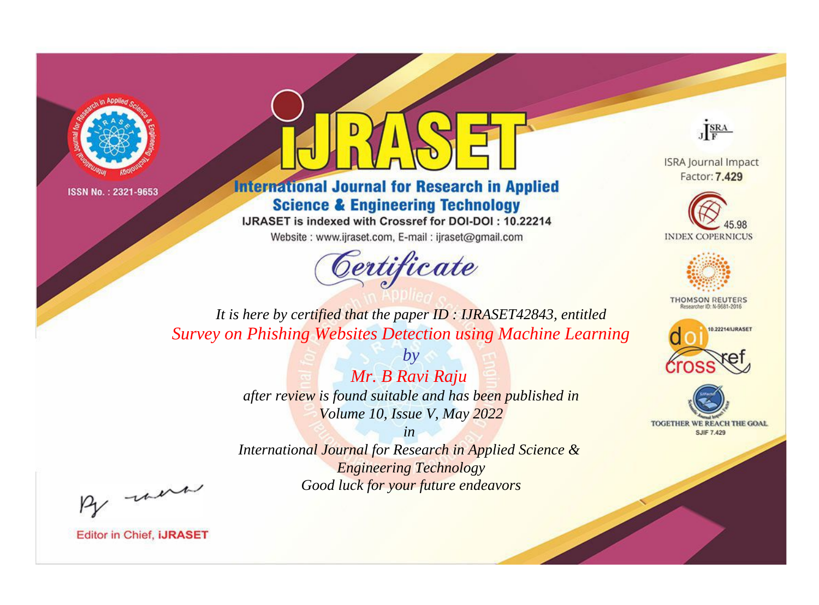



**International Journal for Research in Applied Science & Engineering Technology** 

IJRASET is indexed with Crossref for DOI-DOI: 10.22214

Website: www.ijraset.com, E-mail: ijraset@gmail.com



JERA

**ISRA Journal Impact** Factor: 7.429





**THOMSON REUTERS** 



TOGETHER WE REACH THE GOAL **SJIF 7.429** 

*It is here by certified that the paper ID : IJRASET42843, entitled Survey on Phishing Websites Detection using Machine Learning*

> *by Mr. B Ravi Raju after review is found suitable and has been published in Volume 10, Issue V, May 2022*

> > *in*

*International Journal for Research in Applied Science & Engineering Technology Good luck for your future endeavors*

By morn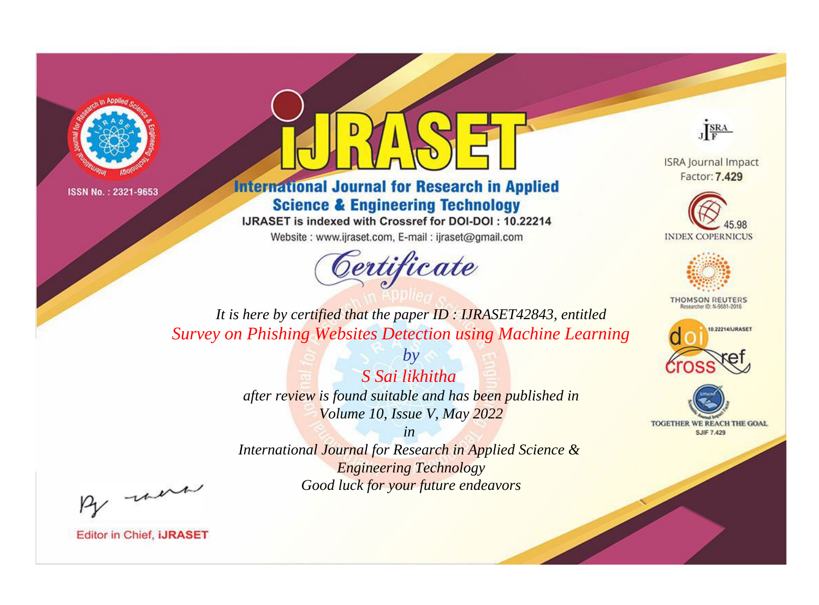



**International Journal for Research in Applied Science & Engineering Technology** 

IJRASET is indexed with Crossref for DOI-DOI: 10.22214

Website: www.ijraset.com, E-mail: ijraset@gmail.com



JERA

**ISRA Journal Impact** Factor: 7.429





**THOMSON REUTERS** 



TOGETHER WE REACH THE GOAL **SJIF 7.429** 

*It is here by certified that the paper ID : IJRASET42843, entitled Survey on Phishing Websites Detection using Machine Learning*

> *by S Sai likhitha after review is found suitable and has been published in Volume 10, Issue V, May 2022*

> > *in*

*International Journal for Research in Applied Science & Engineering Technology Good luck for your future endeavors*

By morn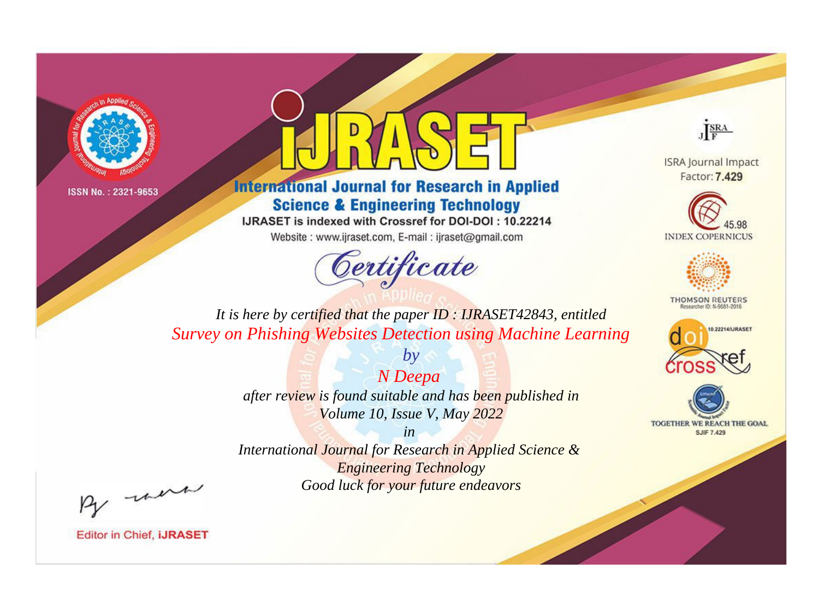



**International Journal for Research in Applied Science & Engineering Technology** 

IJRASET is indexed with Crossref for DOI-DOI: 10.22214

Website: www.ijraset.com, E-mail: ijraset@gmail.com



JERA

**ISRA Journal Impact** Factor: 7.429





**THOMSON REUTERS** 



TOGETHER WE REACH THE GOAL **SJIF 7.429** 

*It is here by certified that the paper ID : IJRASET42843, entitled Survey on Phishing Websites Detection using Machine Learning*

> *N Deepa after review is found suitable and has been published in Volume 10, Issue V, May 2022*

*by*

*in* 

*International Journal for Research in Applied Science & Engineering Technology Good luck for your future endeavors*

By morn